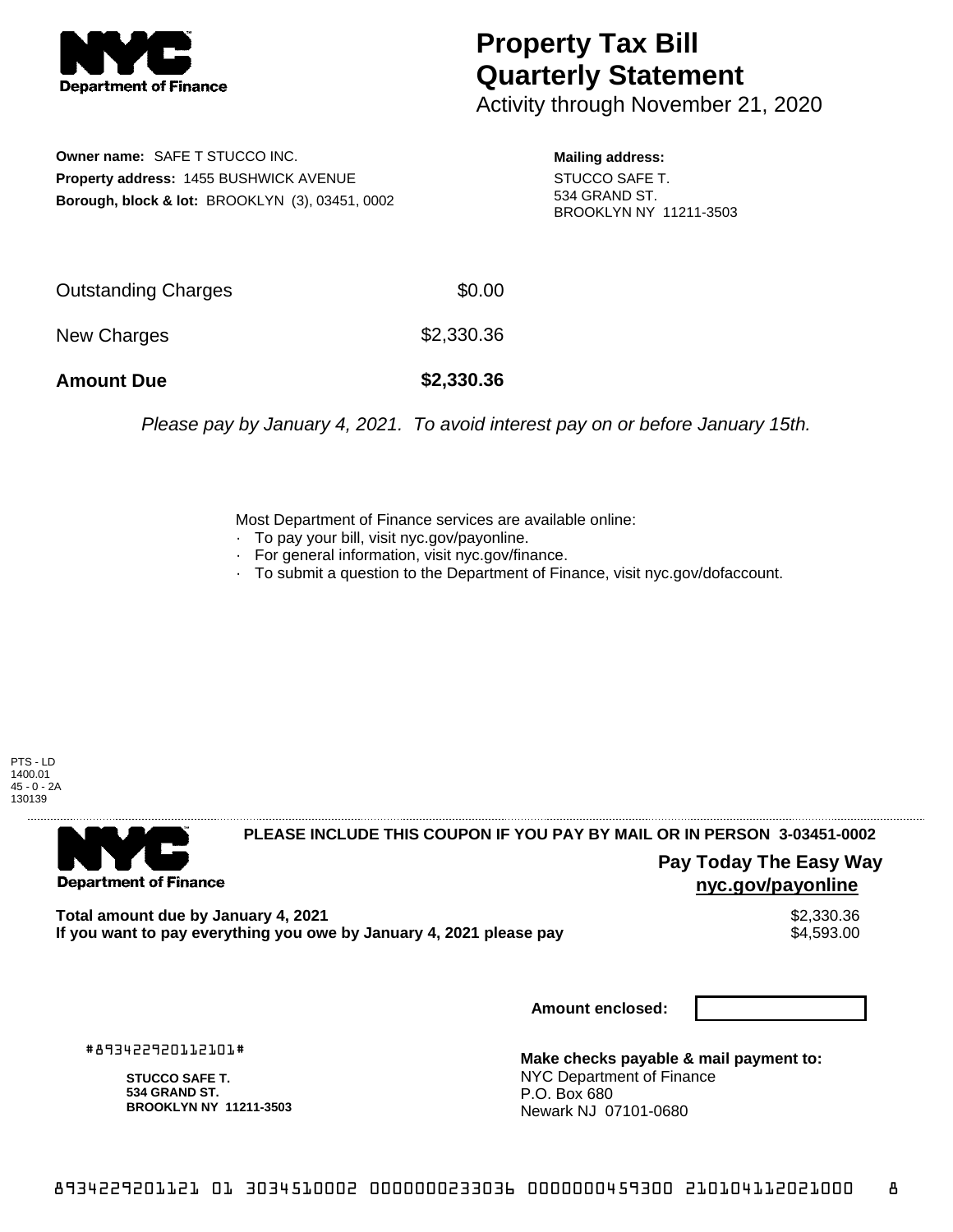

## **Property Tax Bill Quarterly Statement**

Activity through November 21, 2020

**Owner name:** SAFE T STUCCO INC. **Property address:** 1455 BUSHWICK AVENUE **Borough, block & lot:** BROOKLYN (3), 03451, 0002

**Mailing address:** STUCCO SAFE T. 534 GRAND ST. BROOKLYN NY 11211-3503

| <b>Amount Due</b>   | \$2,330.36 |
|---------------------|------------|
| New Charges         | \$2,330.36 |
| Outstanding Charges | \$0.00     |

Please pay by January 4, 2021. To avoid interest pay on or before January 15th.

Most Department of Finance services are available online:

- · To pay your bill, visit nyc.gov/payonline.
- For general information, visit nyc.gov/finance.
- · To submit a question to the Department of Finance, visit nyc.gov/dofaccount.

PTS - LD 1400.01 45 - 0 - 2A 130139



## **PLEASE INCLUDE THIS COUPON IF YOU PAY BY MAIL OR IN PERSON 3-03451-0002**

**Pay Today The Easy Way nyc.gov/payonline**

**Total amount due by January 4, 2021**<br>If you want to pay everything you owe by January 4, 2021 please pay **strategy of the Superior August** \$4,593.00 If you want to pay everything you owe by January 4, 2021 please pay

**Amount enclosed:**

#893422920112101#

**STUCCO SAFE T. 534 GRAND ST. BROOKLYN NY 11211-3503**

**Make checks payable & mail payment to:** NYC Department of Finance P.O. Box 680 Newark NJ 07101-0680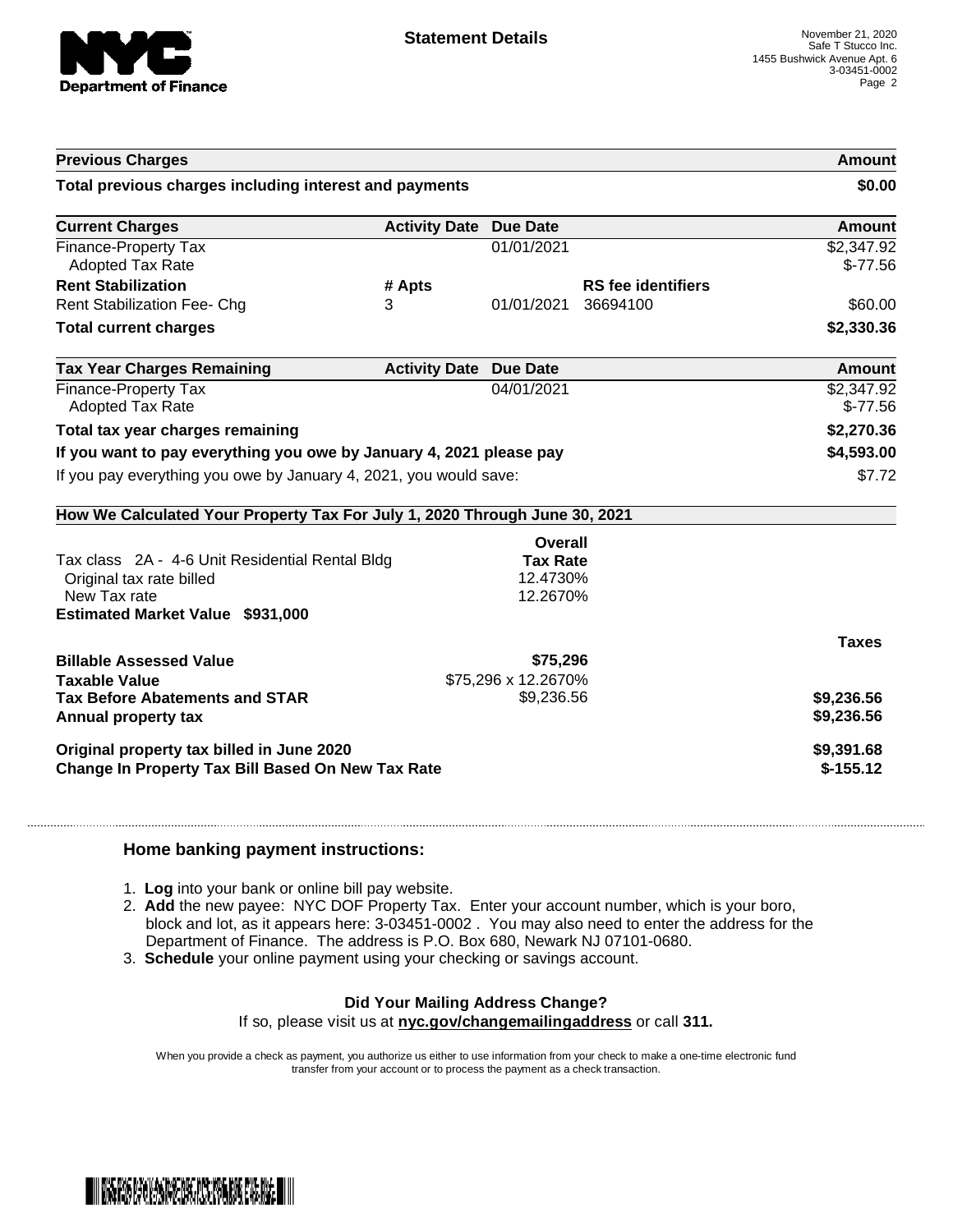

| <b>Previous Charges</b>                                                                                                                                           |                               |                           | Amount<br>\$0.00        |
|-------------------------------------------------------------------------------------------------------------------------------------------------------------------|-------------------------------|---------------------------|-------------------------|
| Total previous charges including interest and payments                                                                                                            |                               |                           |                         |
| <b>Current Charges</b>                                                                                                                                            | <b>Activity Date Due Date</b> |                           | <b>Amount</b>           |
| Finance-Property Tax<br><b>Adopted Tax Rate</b>                                                                                                                   |                               | 01/01/2021                | \$2,347.92<br>$$-77.56$ |
| <b>Rent Stabilization</b>                                                                                                                                         | # Apts                        | <b>RS</b> fee identifiers |                         |
| <b>Rent Stabilization Fee- Chg</b>                                                                                                                                | 3                             | 01/01/2021<br>36694100    | \$60.00                 |
| <b>Total current charges</b>                                                                                                                                      |                               |                           | \$2,330.36              |
| <b>Tax Year Charges Remaining</b>                                                                                                                                 | <b>Activity Date Due Date</b> |                           | Amount                  |
| Finance-Property Tax<br><b>Adopted Tax Rate</b>                                                                                                                   |                               | 04/01/2021                | \$2,347.92<br>$$-77.56$ |
| Total tax year charges remaining                                                                                                                                  |                               |                           | \$2,270.36              |
| If you want to pay everything you owe by January 4, 2021 please pay                                                                                               |                               | \$4,593.00                |                         |
| If you pay everything you owe by January 4, 2021, you would save:                                                                                                 |                               |                           | \$7.72                  |
| How We Calculated Your Property Tax For July 1, 2020 Through June 30, 2021                                                                                        |                               |                           |                         |
|                                                                                                                                                                   |                               | <b>Overall</b>            |                         |
| Tax class 2A - 4-6 Unit Residential Rental Bldg                                                                                                                   |                               | <b>Tax Rate</b>           |                         |
| Original tax rate billed<br>New Tax rate                                                                                                                          |                               | 12.4730%                  |                         |
|                                                                                                                                                                   |                               | 12.2670%                  |                         |
|                                                                                                                                                                   |                               |                           |                         |
|                                                                                                                                                                   |                               |                           | <b>Taxes</b>            |
|                                                                                                                                                                   |                               | \$75,296                  |                         |
|                                                                                                                                                                   |                               | \$75,296 x 12.2670%       |                         |
|                                                                                                                                                                   |                               | \$9,236.56                | \$9,236.56              |
| <b>Estimated Market Value \$931,000</b><br><b>Billable Assessed Value</b><br><b>Taxable Value</b><br><b>Tax Before Abatements and STAR</b><br>Annual property tax |                               |                           | \$9,236.56              |
| Original property tax billed in June 2020                                                                                                                         |                               |                           | \$9,391.68              |

## **Home banking payment instructions:**

- 1. **Log** into your bank or online bill pay website.
- 2. **Add** the new payee: NYC DOF Property Tax. Enter your account number, which is your boro, block and lot, as it appears here: 3-03451-0002 . You may also need to enter the address for the Department of Finance. The address is P.O. Box 680, Newark NJ 07101-0680.
- 3. **Schedule** your online payment using your checking or savings account.

## **Did Your Mailing Address Change?**

If so, please visit us at **nyc.gov/changemailingaddress** or call **311.**

When you provide a check as payment, you authorize us either to use information from your check to make a one-time electronic fund transfer from your account or to process the payment as a check transaction.